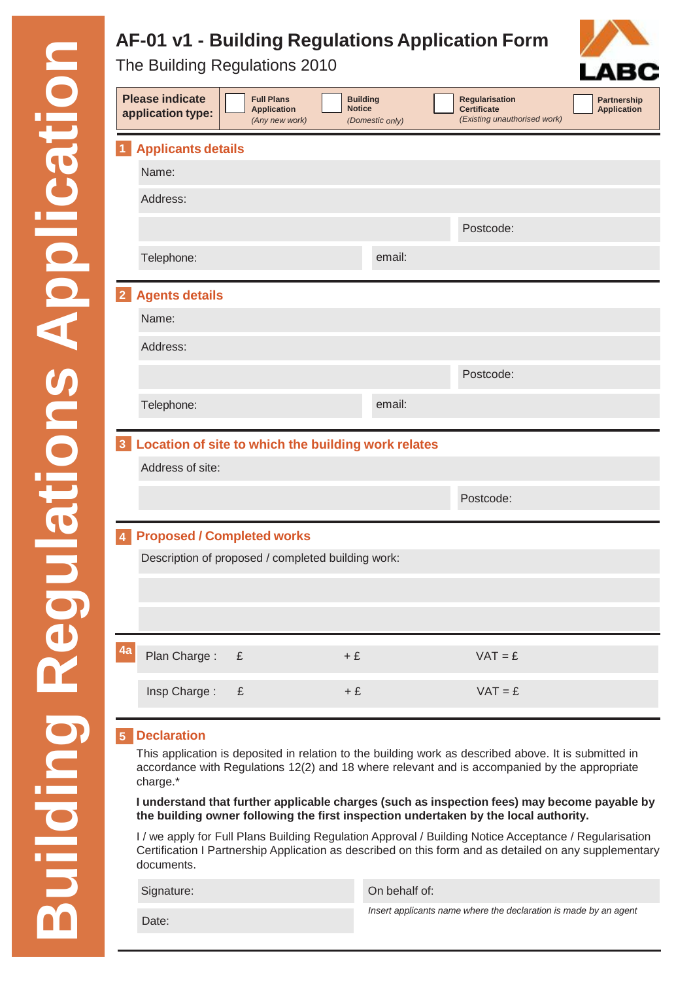# **AF-01 v1 - Building Regulations Application Form**

The Building Regulations 2010

|                                                                       | <b>Please indicate</b><br>application type: | <b>Full Plans</b><br><b>Application</b><br>(Any new work) | <b>Building</b><br><b>Notice</b><br>(Domestic only) |        | <b>Regularisation</b><br><b>Certificate</b><br>(Existing unauthorised work) |  | <b>Partnership</b><br><b>Application</b> |
|-----------------------------------------------------------------------|---------------------------------------------|-----------------------------------------------------------|-----------------------------------------------------|--------|-----------------------------------------------------------------------------|--|------------------------------------------|
| <b>Applicants details</b><br>$\overline{1}$                           |                                             |                                                           |                                                     |        |                                                                             |  |                                          |
|                                                                       | Name:                                       |                                                           |                                                     |        |                                                                             |  |                                          |
|                                                                       | Address:                                    |                                                           |                                                     |        |                                                                             |  |                                          |
|                                                                       |                                             |                                                           |                                                     |        | Postcode:                                                                   |  |                                          |
|                                                                       | Telephone:                                  |                                                           |                                                     | email: |                                                                             |  |                                          |
| $\overline{2}$                                                        | <b>Agents details</b>                       |                                                           |                                                     |        |                                                                             |  |                                          |
|                                                                       | Name:                                       |                                                           |                                                     |        |                                                                             |  |                                          |
|                                                                       | Address:                                    |                                                           |                                                     |        |                                                                             |  |                                          |
|                                                                       |                                             |                                                           |                                                     |        | Postcode:                                                                   |  |                                          |
|                                                                       | Telephone:                                  |                                                           |                                                     | email: |                                                                             |  |                                          |
| Location of site to which the building work relates<br>$\overline{3}$ |                                             |                                                           |                                                     |        |                                                                             |  |                                          |
|                                                                       | Address of site:                            |                                                           |                                                     |        |                                                                             |  |                                          |
|                                                                       |                                             |                                                           |                                                     |        | Postcode:                                                                   |  |                                          |
| <b>Proposed / Completed works</b><br>$\overline{\mathbf{4}}$          |                                             |                                                           |                                                     |        |                                                                             |  |                                          |
| Description of proposed / completed building work:                    |                                             |                                                           |                                                     |        |                                                                             |  |                                          |
|                                                                       |                                             |                                                           |                                                     |        |                                                                             |  |                                          |
|                                                                       |                                             |                                                           |                                                     |        |                                                                             |  |                                          |
| 4a                                                                    | Plan Charge:                                | £                                                         | $+E$                                                |        | $VAT = E$                                                                   |  |                                          |
|                                                                       | Insp Charge:                                | $\pounds$                                                 | $+E$                                                |        | $VAT = E$                                                                   |  |                                          |

### **5 Declaration**

This application is deposited in relation to the building work as described above. It is submitted in accordance with Regulations 12(2) and 18 where relevant and is accompanied by the appropriate charge.\*

**I understand that further applicable charges (such as inspection fees) may become payable by the building owner following the first inspection undertaken by the local authority.**

I / we apply for Full Plans Building Regulation Approval / Building Notice Acceptance / Regularisation Certification I Partnership Application as described on this form and as detailed on any supplementary documents.

Signature: Constanting Signature: Constanting Signature: Constanting On behalf of:

*Insert applicants name where the declaration is made by an agent*

LABC

Date: